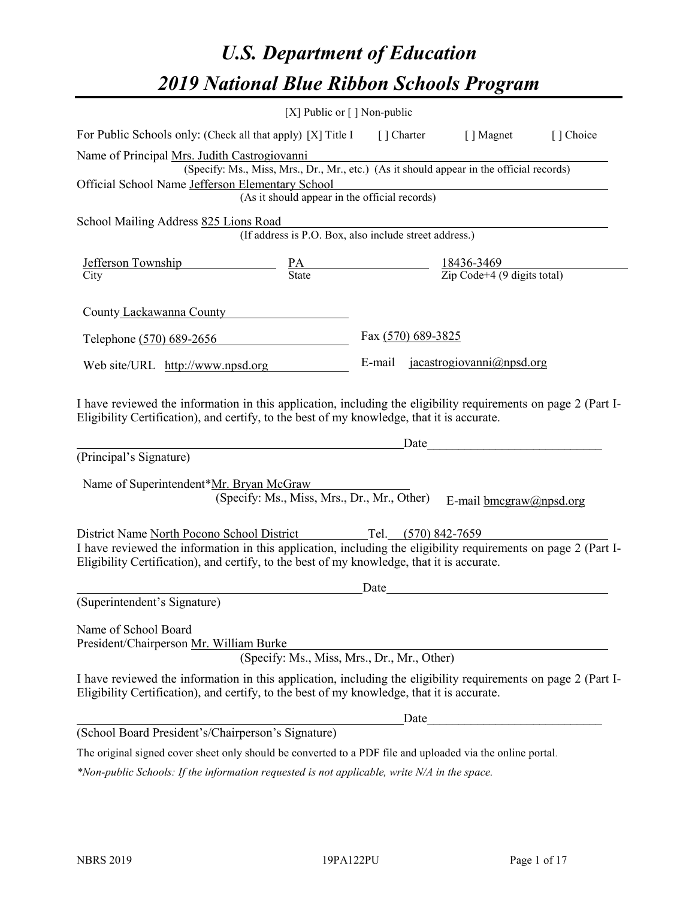# *U.S. Department of Education 2019 National Blue Ribbon Schools Program*

|                                                                                                                                                                                                                                                                                | [X] Public or $\lceil$ ] Non-public                                |                    |      |                                                                                                                                                                |           |
|--------------------------------------------------------------------------------------------------------------------------------------------------------------------------------------------------------------------------------------------------------------------------------|--------------------------------------------------------------------|--------------------|------|----------------------------------------------------------------------------------------------------------------------------------------------------------------|-----------|
| For Public Schools only: (Check all that apply) [X] Title I [] Charter [] Magnet                                                                                                                                                                                               |                                                                    |                    |      |                                                                                                                                                                | [] Choice |
| Name of Principal Mrs. Judith Castrogiovanni<br>Official School Name Jefferson Elementary School                                                                                                                                                                               |                                                                    |                    |      | (Specify: Ms., Miss, Mrs., Dr., Mr., etc.) (As it should appear in the official records)<br>Elementary School<br>(As it should appear in the official records) |           |
| School Mailing Address 825 Lions Road                                                                                                                                                                                                                                          | Ins Road<br>(If address is P.O. Box, also include street address.) |                    |      |                                                                                                                                                                |           |
| Jefferson Township<br>City<br>City<br>City<br>State<br>The Case of City<br>City<br>State<br>Tip Code+4 (9 digits total)<br>$\overline{\mathrm{City}}$                                                                                                                          |                                                                    |                    |      |                                                                                                                                                                |           |
| County Lackawanna County                                                                                                                                                                                                                                                       |                                                                    |                    |      |                                                                                                                                                                |           |
| Telephone (570) 689-2656                                                                                                                                                                                                                                                       |                                                                    | Fax (570) 689-3825 |      |                                                                                                                                                                |           |
| Web site/URL http://www.npsd.org                                                                                                                                                                                                                                               |                                                                    |                    |      | E-mail jacastrogiovanni@npsd.org                                                                                                                               |           |
| I have reviewed the information in this application, including the eligibility requirements on page 2 (Part I-<br>Eligibility Certification), and certify, to the best of my knowledge, that it is accurate.                                                                   |                                                                    |                    | Date |                                                                                                                                                                |           |
| (Principal's Signature)                                                                                                                                                                                                                                                        |                                                                    |                    |      |                                                                                                                                                                |           |
| Name of Superintendent*Mr. Bryan McGraw                                                                                                                                                                                                                                        | (Specify: Ms., Miss, Mrs., Dr., Mr., Other)                        |                    |      | E-mail bmcgraw@npsd.org                                                                                                                                        |           |
| District Name North Pocono School District Tel. (570) 842-7659<br>I have reviewed the information in this application, including the eligibility requirements on page 2 (Part I-<br>Eligibility Certification), and certify, to the best of my knowledge, that it is accurate. |                                                                    |                    |      |                                                                                                                                                                |           |
|                                                                                                                                                                                                                                                                                |                                                                    | Date               |      |                                                                                                                                                                |           |
| (Superintendent's Signature)                                                                                                                                                                                                                                                   |                                                                    |                    |      |                                                                                                                                                                |           |
| Name of School Board<br>President/Chairperson Mr. William Burke                                                                                                                                                                                                                | (Specify: Ms., Miss, Mrs., Dr., Mr., Other)                        |                    |      |                                                                                                                                                                |           |
| I have reviewed the information in this application, including the eligibility requirements on page 2 (Part I-<br>Eligibility Certification), and certify, to the best of my knowledge, that it is accurate.                                                                   |                                                                    |                    |      |                                                                                                                                                                |           |
|                                                                                                                                                                                                                                                                                |                                                                    |                    |      |                                                                                                                                                                |           |
| (School Board President's/Chairperson's Signature)                                                                                                                                                                                                                             |                                                                    |                    |      |                                                                                                                                                                |           |
| The original signed cover sheet only should be converted to a PDF file and uploaded via the online portal.                                                                                                                                                                     |                                                                    |                    |      |                                                                                                                                                                |           |

*\*Non-public Schools: If the information requested is not applicable, write N/A in the space.*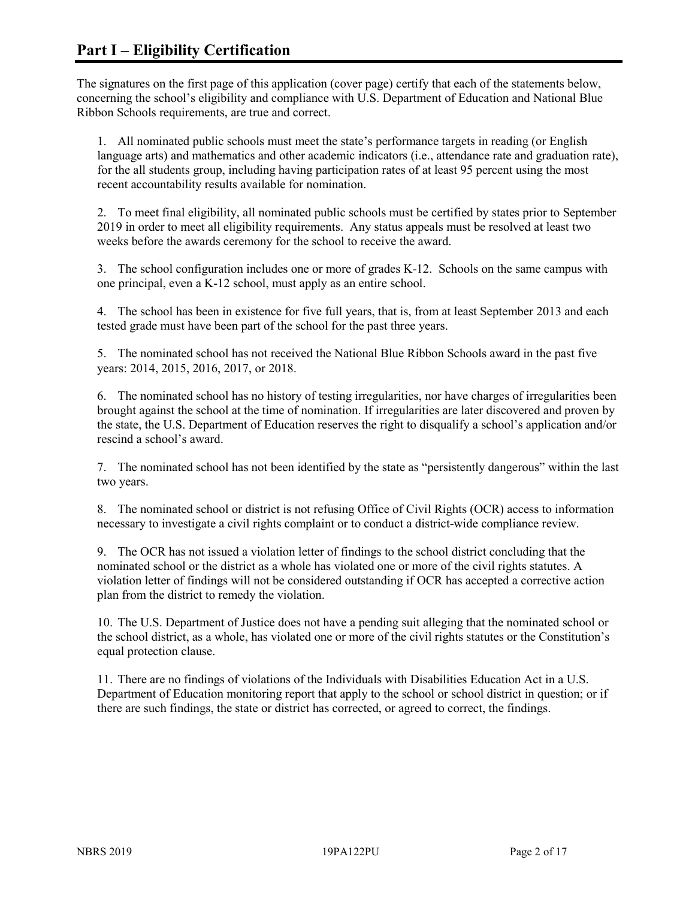The signatures on the first page of this application (cover page) certify that each of the statements below, concerning the school's eligibility and compliance with U.S. Department of Education and National Blue Ribbon Schools requirements, are true and correct.

1. All nominated public schools must meet the state's performance targets in reading (or English language arts) and mathematics and other academic indicators (i.e., attendance rate and graduation rate), for the all students group, including having participation rates of at least 95 percent using the most recent accountability results available for nomination.

2. To meet final eligibility, all nominated public schools must be certified by states prior to September 2019 in order to meet all eligibility requirements. Any status appeals must be resolved at least two weeks before the awards ceremony for the school to receive the award.

3. The school configuration includes one or more of grades K-12. Schools on the same campus with one principal, even a K-12 school, must apply as an entire school.

4. The school has been in existence for five full years, that is, from at least September 2013 and each tested grade must have been part of the school for the past three years.

5. The nominated school has not received the National Blue Ribbon Schools award in the past five years: 2014, 2015, 2016, 2017, or 2018.

6. The nominated school has no history of testing irregularities, nor have charges of irregularities been brought against the school at the time of nomination. If irregularities are later discovered and proven by the state, the U.S. Department of Education reserves the right to disqualify a school's application and/or rescind a school's award.

7. The nominated school has not been identified by the state as "persistently dangerous" within the last two years.

8. The nominated school or district is not refusing Office of Civil Rights (OCR) access to information necessary to investigate a civil rights complaint or to conduct a district-wide compliance review.

9. The OCR has not issued a violation letter of findings to the school district concluding that the nominated school or the district as a whole has violated one or more of the civil rights statutes. A violation letter of findings will not be considered outstanding if OCR has accepted a corrective action plan from the district to remedy the violation.

10. The U.S. Department of Justice does not have a pending suit alleging that the nominated school or the school district, as a whole, has violated one or more of the civil rights statutes or the Constitution's equal protection clause.

11. There are no findings of violations of the Individuals with Disabilities Education Act in a U.S. Department of Education monitoring report that apply to the school or school district in question; or if there are such findings, the state or district has corrected, or agreed to correct, the findings.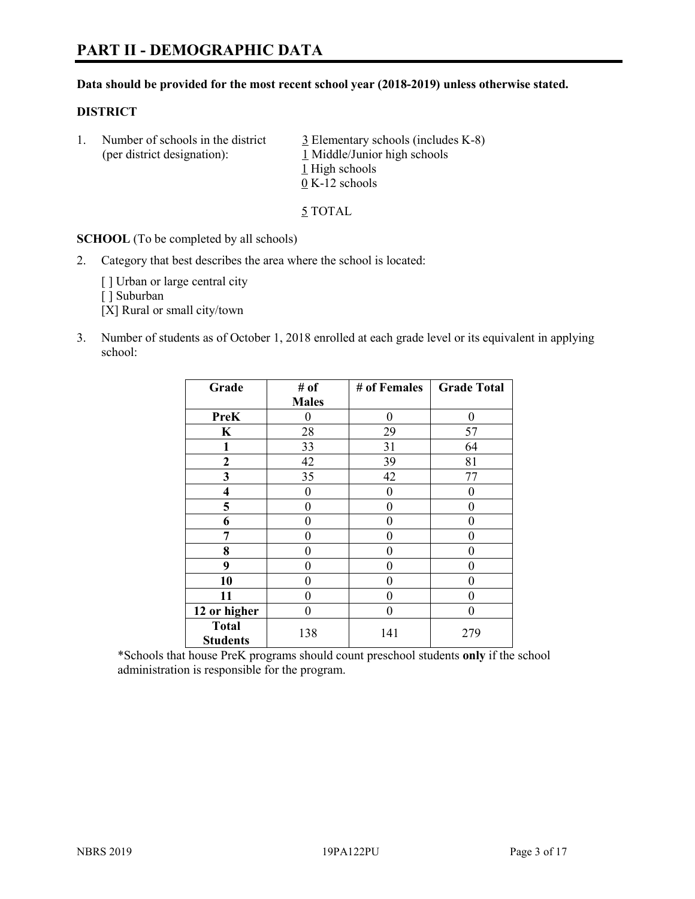# **PART II - DEMOGRAPHIC DATA**

#### **Data should be provided for the most recent school year (2018-2019) unless otherwise stated.**

#### **DISTRICT**

1. Number of schools in the district  $\frac{3}{2}$  Elementary schools (includes K-8) (per district designation): 1 Middle/Junior high schools 1 High schools 0 K-12 schools

5 TOTAL

**SCHOOL** (To be completed by all schools)

2. Category that best describes the area where the school is located:

[] Urban or large central city

[ ] Suburban

[X] Rural or small city/town

3. Number of students as of October 1, 2018 enrolled at each grade level or its equivalent in applying school:

| Grade                   | # of         | # of Females | <b>Grade Total</b> |
|-------------------------|--------------|--------------|--------------------|
|                         | <b>Males</b> |              |                    |
| <b>PreK</b>             | 0            | $\theta$     | 0                  |
| $\mathbf K$             | 28           | 29           | 57                 |
| 1                       | 33           | 31           | 64                 |
| 2                       | 42           | 39           | 81                 |
| 3                       | 35           | 42           | 77                 |
| $\overline{\mathbf{4}}$ | 0            | 0            | 0                  |
| 5                       | 0            | 0            | 0                  |
| 6                       | 0            | 0            | 0                  |
| 7                       | 0            | 0            | 0                  |
| 8                       | 0            | 0            | 0                  |
| 9                       | 0            | 0            | 0                  |
| 10                      | 0            | 0            | 0                  |
| 11                      | $\theta$     | 0            | 0                  |
| 12 or higher            | 0            | 0            | 0                  |
| <b>Total</b>            | 138          | 141          | 279                |
| <b>Students</b>         |              |              |                    |

\*Schools that house PreK programs should count preschool students **only** if the school administration is responsible for the program.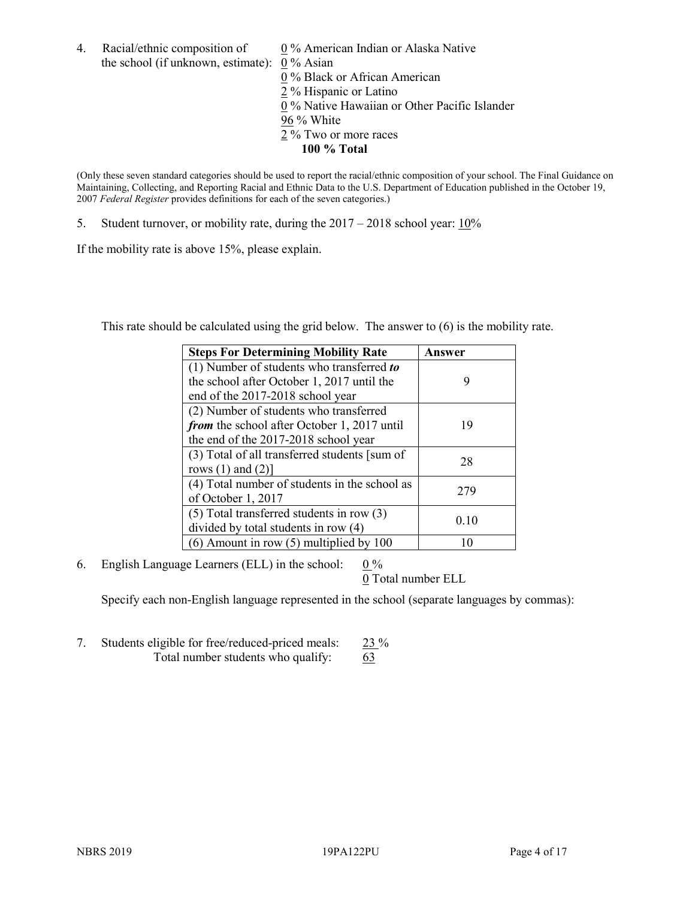4. Racial/ethnic composition of  $0\%$  American Indian or Alaska Native the school (if unknown, estimate): 0 % Asian

 % Black or African American % Hispanic or Latino % Native Hawaiian or Other Pacific Islander 96 % White % Two or more races **100 % Total**

(Only these seven standard categories should be used to report the racial/ethnic composition of your school. The Final Guidance on Maintaining, Collecting, and Reporting Racial and Ethnic Data to the U.S. Department of Education published in the October 19, 2007 *Federal Register* provides definitions for each of the seven categories.)

5. Student turnover, or mobility rate, during the 2017 – 2018 school year: 10%

If the mobility rate is above 15%, please explain.

This rate should be calculated using the grid below. The answer to (6) is the mobility rate.

| <b>Steps For Determining Mobility Rate</b>    | Answer |
|-----------------------------------------------|--------|
| (1) Number of students who transferred to     |        |
| the school after October 1, 2017 until the    | 9      |
| end of the 2017-2018 school year              |        |
| (2) Number of students who transferred        |        |
| from the school after October 1, 2017 until   | 19     |
| the end of the 2017-2018 school year          |        |
| (3) Total of all transferred students [sum of | 28     |
| rows $(1)$ and $(2)$ ]                        |        |
| (4) Total number of students in the school as |        |
| of October 1, 2017                            | 279    |
| $(5)$ Total transferred students in row $(3)$ |        |
| divided by total students in row (4)          | 0.10   |
| $(6)$ Amount in row $(5)$ multiplied by 100   |        |

6. English Language Learners (ELL) in the school:  $0\%$ 

0 Total number ELL

Specify each non-English language represented in the school (separate languages by commas):

7. Students eligible for free/reduced-priced meals: 23 % Total number students who qualify: 63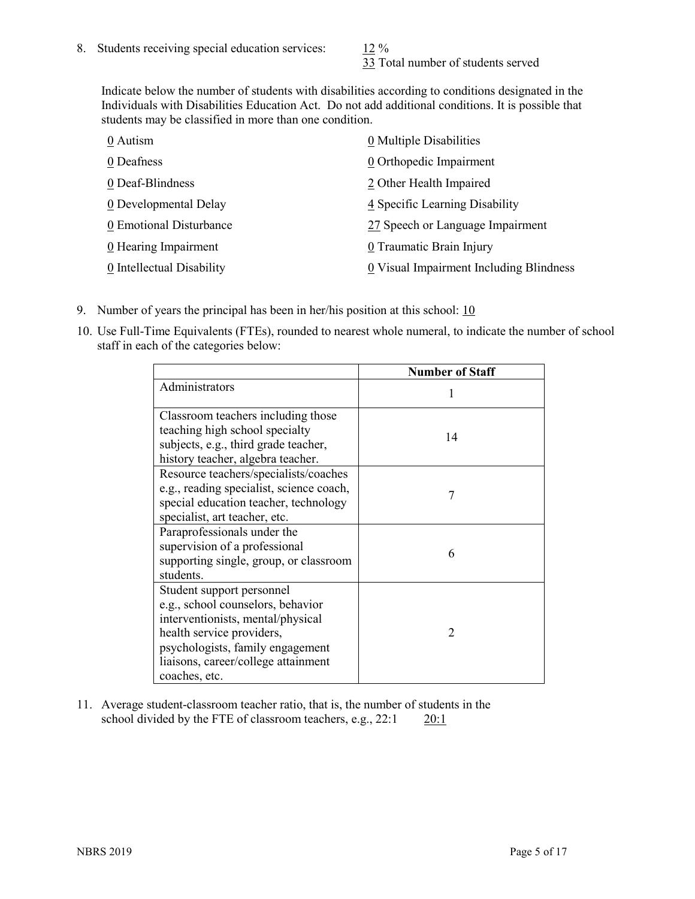33 Total number of students served

Indicate below the number of students with disabilities according to conditions designated in the Individuals with Disabilities Education Act. Do not add additional conditions. It is possible that students may be classified in more than one condition.

| 0 Autism                  | 0 Multiple Disabilities                 |
|---------------------------|-----------------------------------------|
| 0 Deafness                | 0 Orthopedic Impairment                 |
| 0 Deaf-Blindness          | 2 Other Health Impaired                 |
| 0 Developmental Delay     | 4 Specific Learning Disability          |
| 0 Emotional Disturbance   | 27 Speech or Language Impairment        |
| 0 Hearing Impairment      | 0 Traumatic Brain Injury                |
| 0 Intellectual Disability | 0 Visual Impairment Including Blindness |

- 9. Number of years the principal has been in her/his position at this school:  $10$
- 10. Use Full-Time Equivalents (FTEs), rounded to nearest whole numeral, to indicate the number of school staff in each of the categories below:

|                                                                                                                                                                                                                              | <b>Number of Staff</b>   |
|------------------------------------------------------------------------------------------------------------------------------------------------------------------------------------------------------------------------------|--------------------------|
| Administrators                                                                                                                                                                                                               |                          |
| Classroom teachers including those<br>teaching high school specialty<br>subjects, e.g., third grade teacher,<br>history teacher, algebra teacher.                                                                            | 14                       |
| Resource teachers/specialists/coaches<br>e.g., reading specialist, science coach,<br>special education teacher, technology<br>specialist, art teacher, etc.                                                                  | 7                        |
| Paraprofessionals under the<br>supervision of a professional<br>supporting single, group, or classroom<br>students.                                                                                                          | 6                        |
| Student support personnel<br>e.g., school counselors, behavior<br>interventionists, mental/physical<br>health service providers,<br>psychologists, family engagement<br>liaisons, career/college attainment<br>coaches, etc. | $\mathfrak{D}_{1}^{(1)}$ |

11. Average student-classroom teacher ratio, that is, the number of students in the school divided by the FTE of classroom teachers, e.g.,  $22:1$  20:1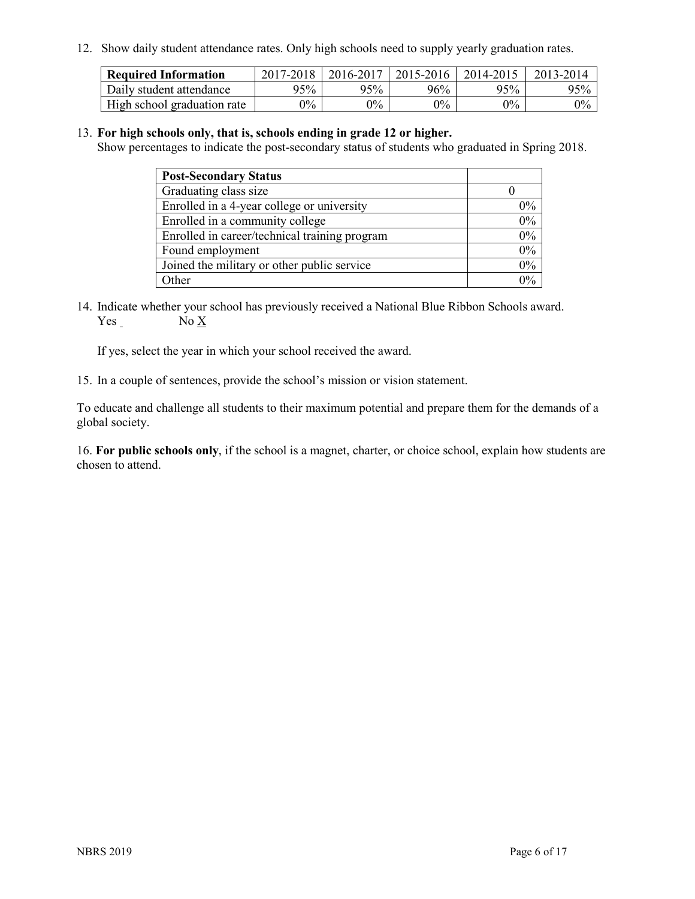12. Show daily student attendance rates. Only high schools need to supply yearly graduation rates.

| <b>Required Information</b> | 2017-2018 | 2016-2017 | 2015-2016 | 2014-2015 | 2013-2014 |
|-----------------------------|-----------|-----------|-----------|-----------|-----------|
| Daily student attendance    | 95%       | 95%       | 96%       | 95%       | 95%       |
| High school graduation rate | $0\%$     | $0\%$     | $0\%$     | $9\%$     | $0\%$     |

#### 13. **For high schools only, that is, schools ending in grade 12 or higher.**

Show percentages to indicate the post-secondary status of students who graduated in Spring 2018.

| <b>Post-Secondary Status</b>                  |       |
|-----------------------------------------------|-------|
| Graduating class size                         |       |
| Enrolled in a 4-year college or university    | $0\%$ |
| Enrolled in a community college               | 0%    |
| Enrolled in career/technical training program | 0%    |
| Found employment                              | 0%    |
| Joined the military or other public service   | 0%    |
| Other                                         | $0\%$ |

14. Indicate whether your school has previously received a National Blue Ribbon Schools award. Yes No X

If yes, select the year in which your school received the award.

15. In a couple of sentences, provide the school's mission or vision statement.

To educate and challenge all students to their maximum potential and prepare them for the demands of a global society.

16. **For public schools only**, if the school is a magnet, charter, or choice school, explain how students are chosen to attend.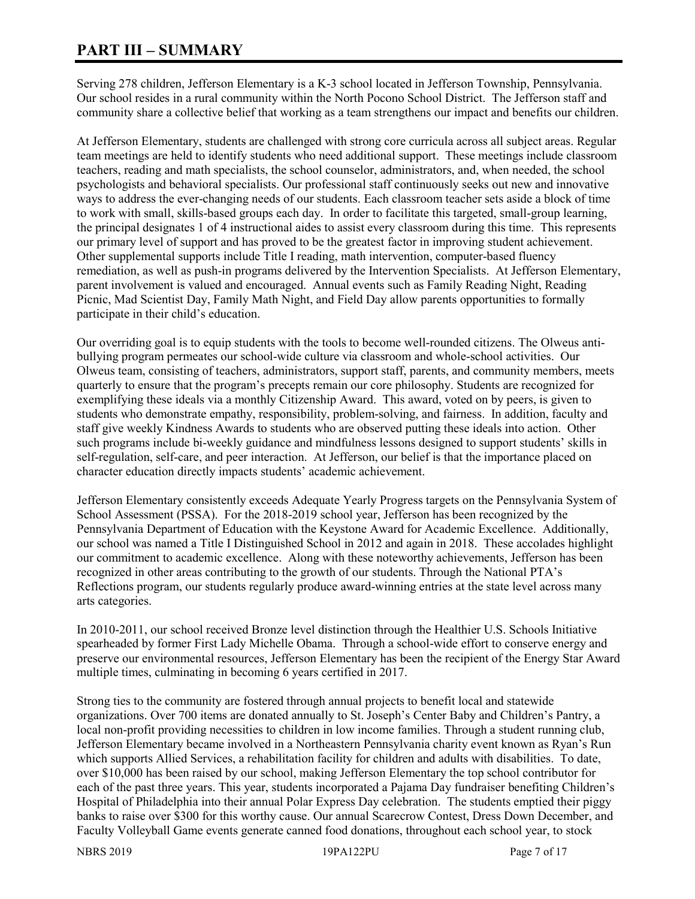# **PART III – SUMMARY**

Serving 278 children, Jefferson Elementary is a K-3 school located in Jefferson Township, Pennsylvania. Our school resides in a rural community within the North Pocono School District. The Jefferson staff and community share a collective belief that working as a team strengthens our impact and benefits our children.

At Jefferson Elementary, students are challenged with strong core curricula across all subject areas. Regular team meetings are held to identify students who need additional support. These meetings include classroom teachers, reading and math specialists, the school counselor, administrators, and, when needed, the school psychologists and behavioral specialists. Our professional staff continuously seeks out new and innovative ways to address the ever-changing needs of our students. Each classroom teacher sets aside a block of time to work with small, skills-based groups each day. In order to facilitate this targeted, small-group learning, the principal designates 1 of 4 instructional aides to assist every classroom during this time. This represents our primary level of support and has proved to be the greatest factor in improving student achievement. Other supplemental supports include Title I reading, math intervention, computer-based fluency remediation, as well as push-in programs delivered by the Intervention Specialists. At Jefferson Elementary, parent involvement is valued and encouraged. Annual events such as Family Reading Night, Reading Picnic, Mad Scientist Day, Family Math Night, and Field Day allow parents opportunities to formally participate in their child's education.

Our overriding goal is to equip students with the tools to become well-rounded citizens. The Olweus antibullying program permeates our school-wide culture via classroom and whole-school activities. Our Olweus team, consisting of teachers, administrators, support staff, parents, and community members, meets quarterly to ensure that the program's precepts remain our core philosophy. Students are recognized for exemplifying these ideals via a monthly Citizenship Award. This award, voted on by peers, is given to students who demonstrate empathy, responsibility, problem-solving, and fairness. In addition, faculty and staff give weekly Kindness Awards to students who are observed putting these ideals into action. Other such programs include bi-weekly guidance and mindfulness lessons designed to support students' skills in self-regulation, self-care, and peer interaction. At Jefferson, our belief is that the importance placed on character education directly impacts students' academic achievement.

Jefferson Elementary consistently exceeds Adequate Yearly Progress targets on the Pennsylvania System of School Assessment (PSSA). For the 2018-2019 school year, Jefferson has been recognized by the Pennsylvania Department of Education with the Keystone Award for Academic Excellence. Additionally, our school was named a Title I Distinguished School in 2012 and again in 2018. These accolades highlight our commitment to academic excellence. Along with these noteworthy achievements, Jefferson has been recognized in other areas contributing to the growth of our students. Through the National PTA's Reflections program, our students regularly produce award-winning entries at the state level across many arts categories.

In 2010-2011, our school received Bronze level distinction through the Healthier U.S. Schools Initiative spearheaded by former First Lady Michelle Obama. Through a school-wide effort to conserve energy and preserve our environmental resources, Jefferson Elementary has been the recipient of the Energy Star Award multiple times, culminating in becoming 6 years certified in 2017.

Strong ties to the community are fostered through annual projects to benefit local and statewide organizations. Over 700 items are donated annually to St. Joseph's Center Baby and Children's Pantry, a local non-profit providing necessities to children in low income families. Through a student running club, Jefferson Elementary became involved in a Northeastern Pennsylvania charity event known as Ryan's Run which supports Allied Services, a rehabilitation facility for children and adults with disabilities. To date, over \$10,000 has been raised by our school, making Jefferson Elementary the top school contributor for each of the past three years. This year, students incorporated a Pajama Day fundraiser benefiting Children's Hospital of Philadelphia into their annual Polar Express Day celebration. The students emptied their piggy banks to raise over \$300 for this worthy cause. Our annual Scarecrow Contest, Dress Down December, and Faculty Volleyball Game events generate canned food donations, throughout each school year, to stock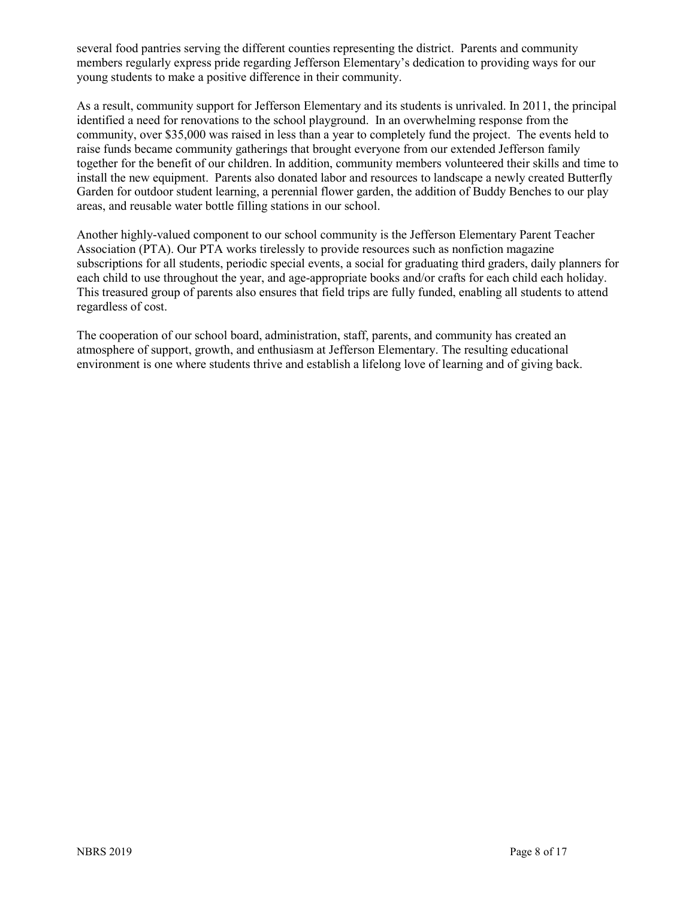several food pantries serving the different counties representing the district. Parents and community members regularly express pride regarding Jefferson Elementary's dedication to providing ways for our young students to make a positive difference in their community.

As a result, community support for Jefferson Elementary and its students is unrivaled. In 2011, the principal identified a need for renovations to the school playground. In an overwhelming response from the community, over \$35,000 was raised in less than a year to completely fund the project. The events held to raise funds became community gatherings that brought everyone from our extended Jefferson family together for the benefit of our children. In addition, community members volunteered their skills and time to install the new equipment. Parents also donated labor and resources to landscape a newly created Butterfly Garden for outdoor student learning, a perennial flower garden, the addition of Buddy Benches to our play areas, and reusable water bottle filling stations in our school.

Another highly-valued component to our school community is the Jefferson Elementary Parent Teacher Association (PTA). Our PTA works tirelessly to provide resources such as nonfiction magazine subscriptions for all students, periodic special events, a social for graduating third graders, daily planners for each child to use throughout the year, and age-appropriate books and/or crafts for each child each holiday. This treasured group of parents also ensures that field trips are fully funded, enabling all students to attend regardless of cost.

The cooperation of our school board, administration, staff, parents, and community has created an atmosphere of support, growth, and enthusiasm at Jefferson Elementary. The resulting educational environment is one where students thrive and establish a lifelong love of learning and of giving back.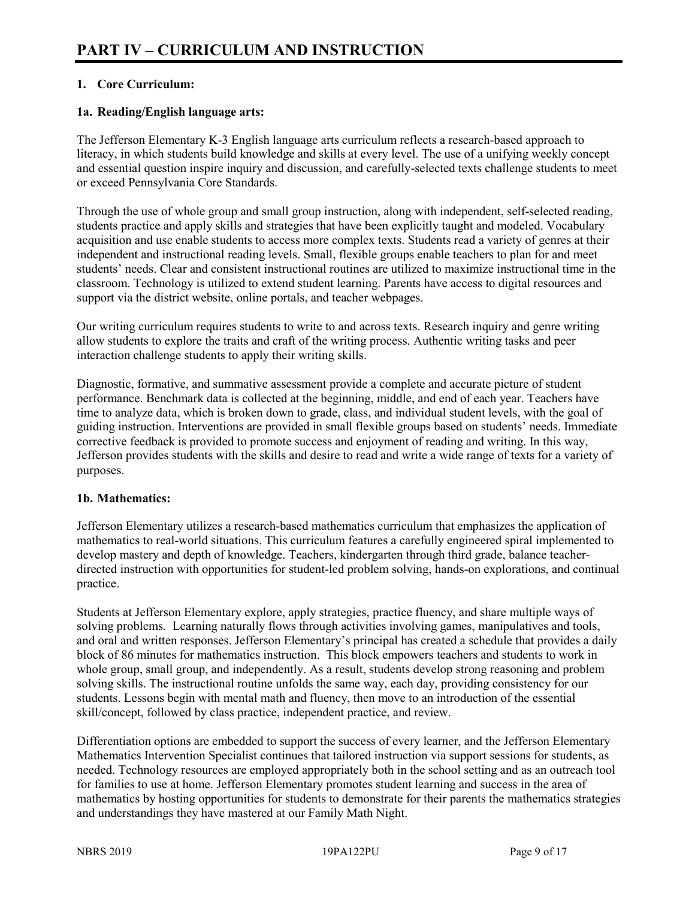# **1. Core Curriculum:**

## **1a. Reading/English language arts:**

The Jefferson Elementary K-3 English language arts curriculum reflects a research-based approach to literacy, in which students build knowledge and skills at every level. The use of a unifying weekly concept and essential question inspire inquiry and discussion, and carefully-selected texts challenge students to meet or exceed Pennsylvania Core Standards.

Through the use of whole group and small group instruction, along with independent, self-selected reading, students practice and apply skills and strategies that have been explicitly taught and modeled. Vocabulary acquisition and use enable students to access more complex texts. Students read a variety of genres at their independent and instructional reading levels. Small, flexible groups enable teachers to plan for and meet students' needs. Clear and consistent instructional routines are utilized to maximize instructional time in the classroom. Technology is utilized to extend student learning. Parents have access to digital resources and support via the district website, online portals, and teacher webpages.

Our writing curriculum requires students to write to and across texts. Research inquiry and genre writing allow students to explore the traits and craft of the writing process. Authentic writing tasks and peer interaction challenge students to apply their writing skills.

Diagnostic, formative, and summative assessment provide a complete and accurate picture of student performance. Benchmark data is collected at the beginning, middle, and end of each year. Teachers have time to analyze data, which is broken down to grade, class, and individual student levels, with the goal of guiding instruction. Interventions are provided in small flexible groups based on students' needs. Immediate corrective feedback is provided to promote success and enjoyment of reading and writing. In this way, Jefferson provides students with the skills and desire to read and write a wide range of texts for a variety of purposes.

#### **1b. Mathematics:**

Jefferson Elementary utilizes a research-based mathematics curriculum that emphasizes the application of mathematics to real-world situations. This curriculum features a carefully engineered spiral implemented to develop mastery and depth of knowledge. Teachers, kindergarten through third grade, balance teacherdirected instruction with opportunities for student-led problem solving, hands-on explorations, and continual practice.

Students at Jefferson Elementary explore, apply strategies, practice fluency, and share multiple ways of solving problems. Learning naturally flows through activities involving games, manipulatives and tools, and oral and written responses. Jefferson Elementary's principal has created a schedule that provides a daily block of 86 minutes for mathematics instruction. This block empowers teachers and students to work in whole group, small group, and independently. As a result, students develop strong reasoning and problem solving skills. The instructional routine unfolds the same way, each day, providing consistency for our students. Lessons begin with mental math and fluency, then move to an introduction of the essential skill/concept, followed by class practice, independent practice, and review.

Differentiation options are embedded to support the success of every learner, and the Jefferson Elementary Mathematics Intervention Specialist continues that tailored instruction via support sessions for students, as needed. Technology resources are employed appropriately both in the school setting and as an outreach tool for families to use at home. Jefferson Elementary promotes student learning and success in the area of mathematics by hosting opportunities for students to demonstrate for their parents the mathematics strategies and understandings they have mastered at our Family Math Night.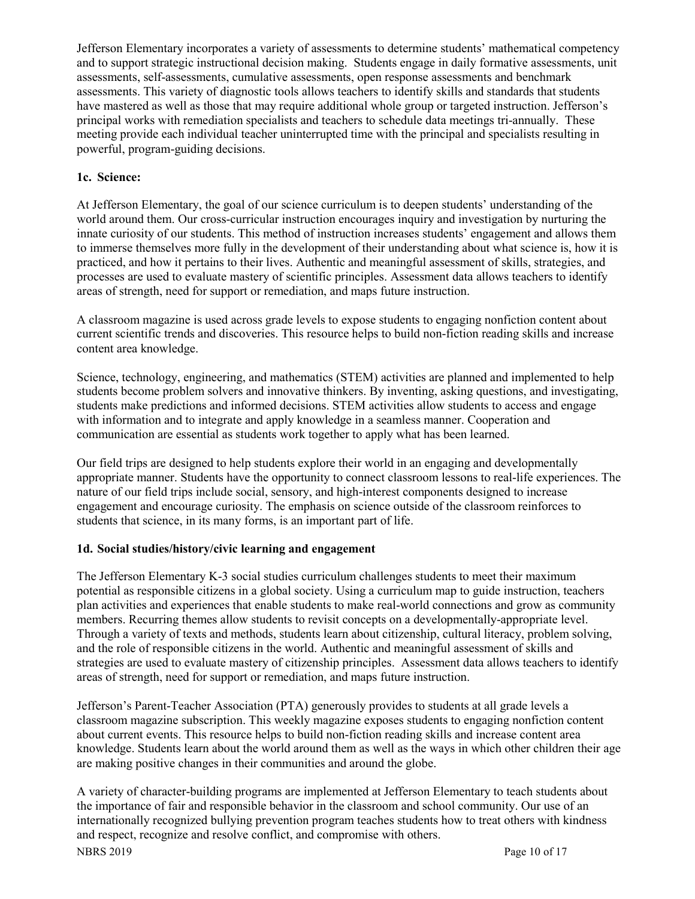Jefferson Elementary incorporates a variety of assessments to determine students' mathematical competency and to support strategic instructional decision making. Students engage in daily formative assessments, unit assessments, self-assessments, cumulative assessments, open response assessments and benchmark assessments. This variety of diagnostic tools allows teachers to identify skills and standards that students have mastered as well as those that may require additional whole group or targeted instruction. Jefferson's principal works with remediation specialists and teachers to schedule data meetings tri-annually. These meeting provide each individual teacher uninterrupted time with the principal and specialists resulting in powerful, program-guiding decisions.

# **1c. Science:**

At Jefferson Elementary, the goal of our science curriculum is to deepen students' understanding of the world around them. Our cross-curricular instruction encourages inquiry and investigation by nurturing the innate curiosity of our students. This method of instruction increases students' engagement and allows them to immerse themselves more fully in the development of their understanding about what science is, how it is practiced, and how it pertains to their lives. Authentic and meaningful assessment of skills, strategies, and processes are used to evaluate mastery of scientific principles. Assessment data allows teachers to identify areas of strength, need for support or remediation, and maps future instruction.

A classroom magazine is used across grade levels to expose students to engaging nonfiction content about current scientific trends and discoveries. This resource helps to build non-fiction reading skills and increase content area knowledge.

Science, technology, engineering, and mathematics (STEM) activities are planned and implemented to help students become problem solvers and innovative thinkers. By inventing, asking questions, and investigating, students make predictions and informed decisions. STEM activities allow students to access and engage with information and to integrate and apply knowledge in a seamless manner. Cooperation and communication are essential as students work together to apply what has been learned.

Our field trips are designed to help students explore their world in an engaging and developmentally appropriate manner. Students have the opportunity to connect classroom lessons to real-life experiences. The nature of our field trips include social, sensory, and high-interest components designed to increase engagement and encourage curiosity. The emphasis on science outside of the classroom reinforces to students that science, in its many forms, is an important part of life.

#### **1d. Social studies/history/civic learning and engagement**

The Jefferson Elementary K-3 social studies curriculum challenges students to meet their maximum potential as responsible citizens in a global society. Using a curriculum map to guide instruction, teachers plan activities and experiences that enable students to make real-world connections and grow as community members. Recurring themes allow students to revisit concepts on a developmentally-appropriate level. Through a variety of texts and methods, students learn about citizenship, cultural literacy, problem solving, and the role of responsible citizens in the world. Authentic and meaningful assessment of skills and strategies are used to evaluate mastery of citizenship principles. Assessment data allows teachers to identify areas of strength, need for support or remediation, and maps future instruction.

Jefferson's Parent-Teacher Association (PTA) generously provides to students at all grade levels a classroom magazine subscription. This weekly magazine exposes students to engaging nonfiction content about current events. This resource helps to build non-fiction reading skills and increase content area knowledge. Students learn about the world around them as well as the ways in which other children their age are making positive changes in their communities and around the globe.

A variety of character-building programs are implemented at Jefferson Elementary to teach students about the importance of fair and responsible behavior in the classroom and school community. Our use of an internationally recognized bullying prevention program teaches students how to treat others with kindness and respect, recognize and resolve conflict, and compromise with others.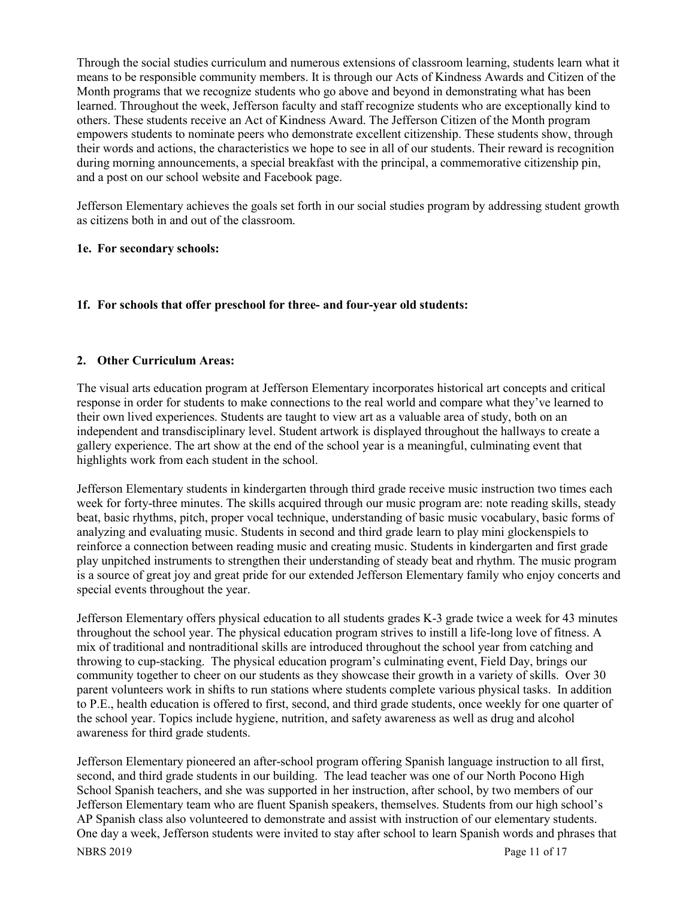Through the social studies curriculum and numerous extensions of classroom learning, students learn what it means to be responsible community members. It is through our Acts of Kindness Awards and Citizen of the Month programs that we recognize students who go above and beyond in demonstrating what has been learned. Throughout the week, Jefferson faculty and staff recognize students who are exceptionally kind to others. These students receive an Act of Kindness Award. The Jefferson Citizen of the Month program empowers students to nominate peers who demonstrate excellent citizenship. These students show, through their words and actions, the characteristics we hope to see in all of our students. Their reward is recognition during morning announcements, a special breakfast with the principal, a commemorative citizenship pin, and a post on our school website and Facebook page.

Jefferson Elementary achieves the goals set forth in our social studies program by addressing student growth as citizens both in and out of the classroom.

#### **1e. For secondary schools:**

#### **1f. For schools that offer preschool for three- and four-year old students:**

#### **2. Other Curriculum Areas:**

The visual arts education program at Jefferson Elementary incorporates historical art concepts and critical response in order for students to make connections to the real world and compare what they've learned to their own lived experiences. Students are taught to view art as a valuable area of study, both on an independent and transdisciplinary level. Student artwork is displayed throughout the hallways to create a gallery experience. The art show at the end of the school year is a meaningful, culminating event that highlights work from each student in the school.

Jefferson Elementary students in kindergarten through third grade receive music instruction two times each week for forty-three minutes. The skills acquired through our music program are: note reading skills, steady beat, basic rhythms, pitch, proper vocal technique, understanding of basic music vocabulary, basic forms of analyzing and evaluating music. Students in second and third grade learn to play mini glockenspiels to reinforce a connection between reading music and creating music. Students in kindergarten and first grade play unpitched instruments to strengthen their understanding of steady beat and rhythm. The music program is a source of great joy and great pride for our extended Jefferson Elementary family who enjoy concerts and special events throughout the year.

Jefferson Elementary offers physical education to all students grades K-3 grade twice a week for 43 minutes throughout the school year. The physical education program strives to instill a life-long love of fitness. A mix of traditional and nontraditional skills are introduced throughout the school year from catching and throwing to cup-stacking. The physical education program's culminating event, Field Day, brings our community together to cheer on our students as they showcase their growth in a variety of skills. Over 30 parent volunteers work in shifts to run stations where students complete various physical tasks. In addition to P.E., health education is offered to first, second, and third grade students, once weekly for one quarter of the school year. Topics include hygiene, nutrition, and safety awareness as well as drug and alcohol awareness for third grade students.

NBRS 2019 Page 11 of 17 Jefferson Elementary pioneered an after-school program offering Spanish language instruction to all first, second, and third grade students in our building. The lead teacher was one of our North Pocono High School Spanish teachers, and she was supported in her instruction, after school, by two members of our Jefferson Elementary team who are fluent Spanish speakers, themselves. Students from our high school's AP Spanish class also volunteered to demonstrate and assist with instruction of our elementary students. One day a week, Jefferson students were invited to stay after school to learn Spanish words and phrases that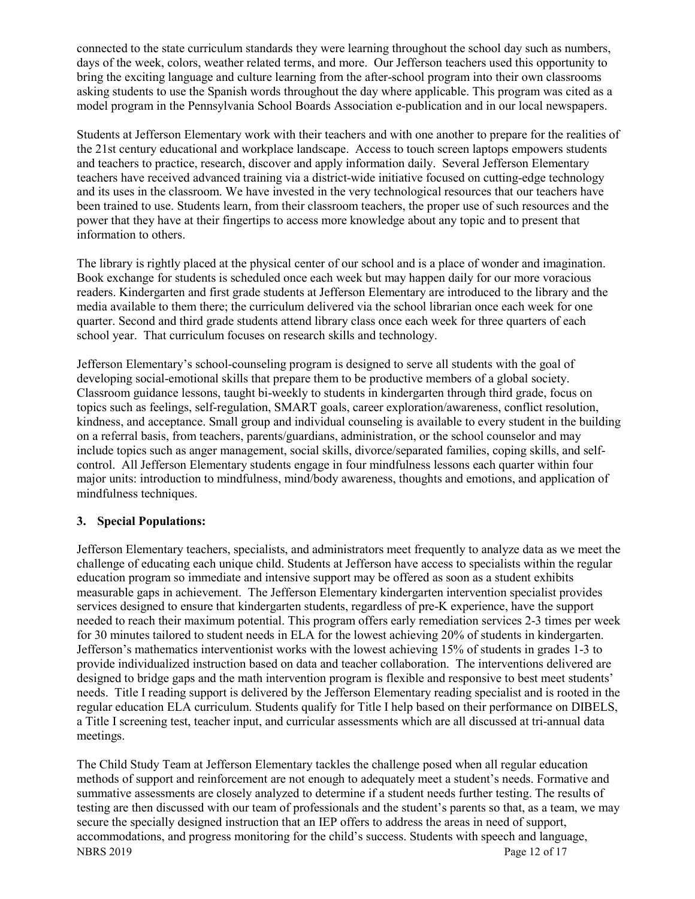connected to the state curriculum standards they were learning throughout the school day such as numbers, days of the week, colors, weather related terms, and more. Our Jefferson teachers used this opportunity to bring the exciting language and culture learning from the after-school program into their own classrooms asking students to use the Spanish words throughout the day where applicable. This program was cited as a model program in the Pennsylvania School Boards Association e-publication and in our local newspapers.

Students at Jefferson Elementary work with their teachers and with one another to prepare for the realities of the 21st century educational and workplace landscape. Access to touch screen laptops empowers students and teachers to practice, research, discover and apply information daily. Several Jefferson Elementary teachers have received advanced training via a district-wide initiative focused on cutting-edge technology and its uses in the classroom. We have invested in the very technological resources that our teachers have been trained to use. Students learn, from their classroom teachers, the proper use of such resources and the power that they have at their fingertips to access more knowledge about any topic and to present that information to others.

The library is rightly placed at the physical center of our school and is a place of wonder and imagination. Book exchange for students is scheduled once each week but may happen daily for our more voracious readers. Kindergarten and first grade students at Jefferson Elementary are introduced to the library and the media available to them there; the curriculum delivered via the school librarian once each week for one quarter. Second and third grade students attend library class once each week for three quarters of each school year. That curriculum focuses on research skills and technology.

Jefferson Elementary's school-counseling program is designed to serve all students with the goal of developing social-emotional skills that prepare them to be productive members of a global society. Classroom guidance lessons, taught bi-weekly to students in kindergarten through third grade, focus on topics such as feelings, self-regulation, SMART goals, career exploration/awareness, conflict resolution, kindness, and acceptance. Small group and individual counseling is available to every student in the building on a referral basis, from teachers, parents/guardians, administration, or the school counselor and may include topics such as anger management, social skills, divorce/separated families, coping skills, and selfcontrol. All Jefferson Elementary students engage in four mindfulness lessons each quarter within four major units: introduction to mindfulness, mind/body awareness, thoughts and emotions, and application of mindfulness techniques.

#### **3. Special Populations:**

Jefferson Elementary teachers, specialists, and administrators meet frequently to analyze data as we meet the challenge of educating each unique child. Students at Jefferson have access to specialists within the regular education program so immediate and intensive support may be offered as soon as a student exhibits measurable gaps in achievement. The Jefferson Elementary kindergarten intervention specialist provides services designed to ensure that kindergarten students, regardless of pre-K experience, have the support needed to reach their maximum potential. This program offers early remediation services 2-3 times per week for 30 minutes tailored to student needs in ELA for the lowest achieving 20% of students in kindergarten. Jefferson's mathematics interventionist works with the lowest achieving 15% of students in grades 1-3 to provide individualized instruction based on data and teacher collaboration. The interventions delivered are designed to bridge gaps and the math intervention program is flexible and responsive to best meet students' needs. Title I reading support is delivered by the Jefferson Elementary reading specialist and is rooted in the regular education ELA curriculum. Students qualify for Title I help based on their performance on DIBELS, a Title I screening test, teacher input, and curricular assessments which are all discussed at tri-annual data meetings.

NBRS 2019 Page 12 of 17 The Child Study Team at Jefferson Elementary tackles the challenge posed when all regular education methods of support and reinforcement are not enough to adequately meet a student's needs. Formative and summative assessments are closely analyzed to determine if a student needs further testing. The results of testing are then discussed with our team of professionals and the student's parents so that, as a team, we may secure the specially designed instruction that an IEP offers to address the areas in need of support, accommodations, and progress monitoring for the child's success. Students with speech and language,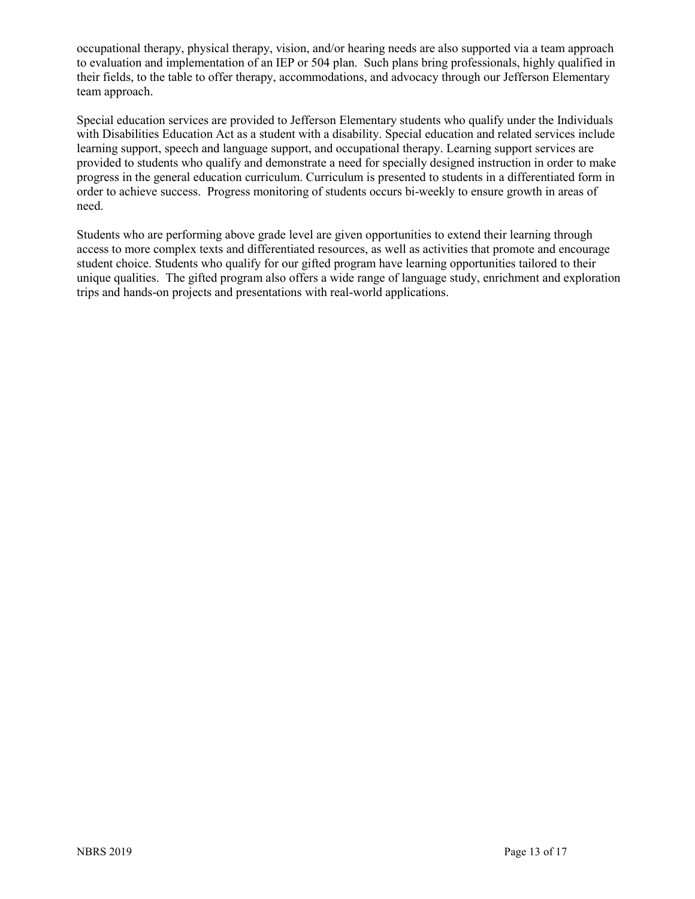occupational therapy, physical therapy, vision, and/or hearing needs are also supported via a team approach to evaluation and implementation of an IEP or 504 plan. Such plans bring professionals, highly qualified in their fields, to the table to offer therapy, accommodations, and advocacy through our Jefferson Elementary team approach.

Special education services are provided to Jefferson Elementary students who qualify under the Individuals with Disabilities Education Act as a student with a disability. Special education and related services include learning support, speech and language support, and occupational therapy. Learning support services are provided to students who qualify and demonstrate a need for specially designed instruction in order to make progress in the general education curriculum. Curriculum is presented to students in a differentiated form in order to achieve success. Progress monitoring of students occurs bi-weekly to ensure growth in areas of need.

Students who are performing above grade level are given opportunities to extend their learning through access to more complex texts and differentiated resources, as well as activities that promote and encourage student choice. Students who qualify for our gifted program have learning opportunities tailored to their unique qualities. The gifted program also offers a wide range of language study, enrichment and exploration trips and hands-on projects and presentations with real-world applications.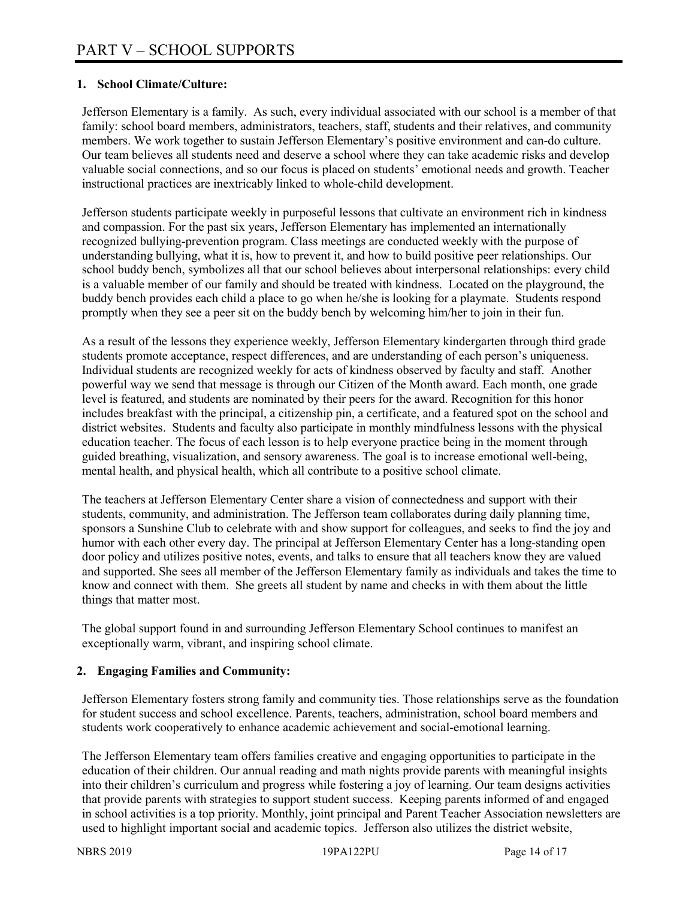## **1. School Climate/Culture:**

Jefferson Elementary is a family. As such, every individual associated with our school is a member of that family: school board members, administrators, teachers, staff, students and their relatives, and community members. We work together to sustain Jefferson Elementary's positive environment and can-do culture. Our team believes all students need and deserve a school where they can take academic risks and develop valuable social connections, and so our focus is placed on students' emotional needs and growth. Teacher instructional practices are inextricably linked to whole-child development.

Jefferson students participate weekly in purposeful lessons that cultivate an environment rich in kindness and compassion. For the past six years, Jefferson Elementary has implemented an internationally recognized bullying-prevention program. Class meetings are conducted weekly with the purpose of understanding bullying, what it is, how to prevent it, and how to build positive peer relationships. Our school buddy bench, symbolizes all that our school believes about interpersonal relationships: every child is a valuable member of our family and should be treated with kindness. Located on the playground, the buddy bench provides each child a place to go when he/she is looking for a playmate. Students respond promptly when they see a peer sit on the buddy bench by welcoming him/her to join in their fun.

As a result of the lessons they experience weekly, Jefferson Elementary kindergarten through third grade students promote acceptance, respect differences, and are understanding of each person's uniqueness. Individual students are recognized weekly for acts of kindness observed by faculty and staff. Another powerful way we send that message is through our Citizen of the Month award. Each month, one grade level is featured, and students are nominated by their peers for the award. Recognition for this honor includes breakfast with the principal, a citizenship pin, a certificate, and a featured spot on the school and district websites. Students and faculty also participate in monthly mindfulness lessons with the physical education teacher. The focus of each lesson is to help everyone practice being in the moment through guided breathing, visualization, and sensory awareness. The goal is to increase emotional well-being, mental health, and physical health, which all contribute to a positive school climate.

The teachers at Jefferson Elementary Center share a vision of connectedness and support with their students, community, and administration. The Jefferson team collaborates during daily planning time, sponsors a Sunshine Club to celebrate with and show support for colleagues, and seeks to find the joy and humor with each other every day. The principal at Jefferson Elementary Center has a long-standing open door policy and utilizes positive notes, events, and talks to ensure that all teachers know they are valued and supported. She sees all member of the Jefferson Elementary family as individuals and takes the time to know and connect with them. She greets all student by name and checks in with them about the little things that matter most.

The global support found in and surrounding Jefferson Elementary School continues to manifest an exceptionally warm, vibrant, and inspiring school climate.

# **2. Engaging Families and Community:**

Jefferson Elementary fosters strong family and community ties. Those relationships serve as the foundation for student success and school excellence. Parents, teachers, administration, school board members and students work cooperatively to enhance academic achievement and social-emotional learning.

The Jefferson Elementary team offers families creative and engaging opportunities to participate in the education of their children. Our annual reading and math nights provide parents with meaningful insights into their children's curriculum and progress while fostering a joy of learning. Our team designs activities that provide parents with strategies to support student success. Keeping parents informed of and engaged in school activities is a top priority. Monthly, joint principal and Parent Teacher Association newsletters are used to highlight important social and academic topics. Jefferson also utilizes the district website,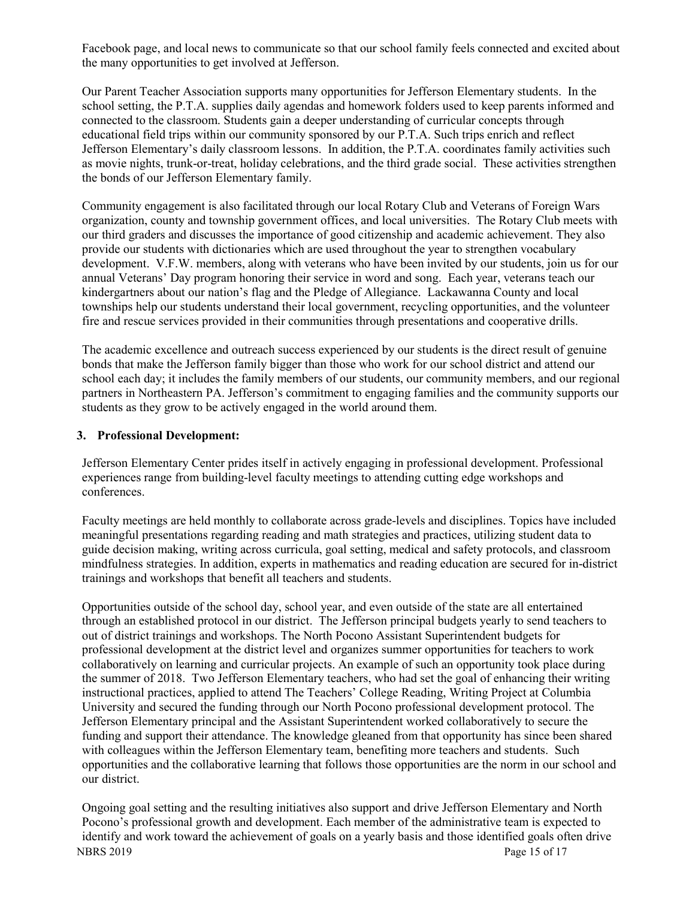Facebook page, and local news to communicate so that our school family feels connected and excited about the many opportunities to get involved at Jefferson.

Our Parent Teacher Association supports many opportunities for Jefferson Elementary students. In the school setting, the P.T.A. supplies daily agendas and homework folders used to keep parents informed and connected to the classroom. Students gain a deeper understanding of curricular concepts through educational field trips within our community sponsored by our P.T.A. Such trips enrich and reflect Jefferson Elementary's daily classroom lessons. In addition, the P.T.A. coordinates family activities such as movie nights, trunk-or-treat, holiday celebrations, and the third grade social. These activities strengthen the bonds of our Jefferson Elementary family.

Community engagement is also facilitated through our local Rotary Club and Veterans of Foreign Wars organization, county and township government offices, and local universities. The Rotary Club meets with our third graders and discusses the importance of good citizenship and academic achievement. They also provide our students with dictionaries which are used throughout the year to strengthen vocabulary development. V.F.W. members, along with veterans who have been invited by our students, join us for our annual Veterans' Day program honoring their service in word and song. Each year, veterans teach our kindergartners about our nation's flag and the Pledge of Allegiance. Lackawanna County and local townships help our students understand their local government, recycling opportunities, and the volunteer fire and rescue services provided in their communities through presentations and cooperative drills.

The academic excellence and outreach success experienced by our students is the direct result of genuine bonds that make the Jefferson family bigger than those who work for our school district and attend our school each day; it includes the family members of our students, our community members, and our regional partners in Northeastern PA. Jefferson's commitment to engaging families and the community supports our students as they grow to be actively engaged in the world around them.

#### **3. Professional Development:**

Jefferson Elementary Center prides itself in actively engaging in professional development. Professional experiences range from building-level faculty meetings to attending cutting edge workshops and conferences.

Faculty meetings are held monthly to collaborate across grade-levels and disciplines. Topics have included meaningful presentations regarding reading and math strategies and practices, utilizing student data to guide decision making, writing across curricula, goal setting, medical and safety protocols, and classroom mindfulness strategies. In addition, experts in mathematics and reading education are secured for in-district trainings and workshops that benefit all teachers and students.

Opportunities outside of the school day, school year, and even outside of the state are all entertained through an established protocol in our district. The Jefferson principal budgets yearly to send teachers to out of district trainings and workshops. The North Pocono Assistant Superintendent budgets for professional development at the district level and organizes summer opportunities for teachers to work collaboratively on learning and curricular projects. An example of such an opportunity took place during the summer of 2018. Two Jefferson Elementary teachers, who had set the goal of enhancing their writing instructional practices, applied to attend The Teachers' College Reading, Writing Project at Columbia University and secured the funding through our North Pocono professional development protocol. The Jefferson Elementary principal and the Assistant Superintendent worked collaboratively to secure the funding and support their attendance. The knowledge gleaned from that opportunity has since been shared with colleagues within the Jefferson Elementary team, benefiting more teachers and students. Such opportunities and the collaborative learning that follows those opportunities are the norm in our school and our district.

NBRS 2019 Page 15 of 17 Ongoing goal setting and the resulting initiatives also support and drive Jefferson Elementary and North Pocono's professional growth and development. Each member of the administrative team is expected to identify and work toward the achievement of goals on a yearly basis and those identified goals often drive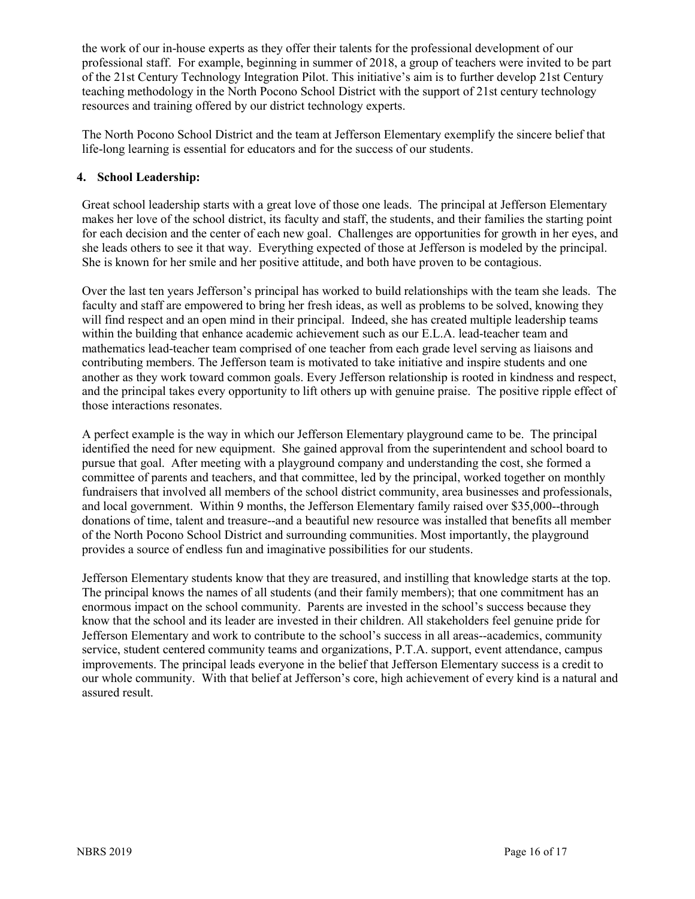the work of our in-house experts as they offer their talents for the professional development of our professional staff. For example, beginning in summer of 2018, a group of teachers were invited to be part of the 21st Century Technology Integration Pilot. This initiative's aim is to further develop 21st Century teaching methodology in the North Pocono School District with the support of 21st century technology resources and training offered by our district technology experts.

The North Pocono School District and the team at Jefferson Elementary exemplify the sincere belief that life-long learning is essential for educators and for the success of our students.

## **4. School Leadership:**

Great school leadership starts with a great love of those one leads. The principal at Jefferson Elementary makes her love of the school district, its faculty and staff, the students, and their families the starting point for each decision and the center of each new goal. Challenges are opportunities for growth in her eyes, and she leads others to see it that way. Everything expected of those at Jefferson is modeled by the principal. She is known for her smile and her positive attitude, and both have proven to be contagious.

Over the last ten years Jefferson's principal has worked to build relationships with the team she leads. The faculty and staff are empowered to bring her fresh ideas, as well as problems to be solved, knowing they will find respect and an open mind in their principal. Indeed, she has created multiple leadership teams within the building that enhance academic achievement such as our E.L.A. lead-teacher team and mathematics lead-teacher team comprised of one teacher from each grade level serving as liaisons and contributing members. The Jefferson team is motivated to take initiative and inspire students and one another as they work toward common goals. Every Jefferson relationship is rooted in kindness and respect, and the principal takes every opportunity to lift others up with genuine praise. The positive ripple effect of those interactions resonates.

A perfect example is the way in which our Jefferson Elementary playground came to be. The principal identified the need for new equipment. She gained approval from the superintendent and school board to pursue that goal. After meeting with a playground company and understanding the cost, she formed a committee of parents and teachers, and that committee, led by the principal, worked together on monthly fundraisers that involved all members of the school district community, area businesses and professionals, and local government. Within 9 months, the Jefferson Elementary family raised over \$35,000--through donations of time, talent and treasure--and a beautiful new resource was installed that benefits all member of the North Pocono School District and surrounding communities. Most importantly, the playground provides a source of endless fun and imaginative possibilities for our students.

Jefferson Elementary students know that they are treasured, and instilling that knowledge starts at the top. The principal knows the names of all students (and their family members); that one commitment has an enormous impact on the school community. Parents are invested in the school's success because they know that the school and its leader are invested in their children. All stakeholders feel genuine pride for Jefferson Elementary and work to contribute to the school's success in all areas--academics, community service, student centered community teams and organizations, P.T.A. support, event attendance, campus improvements. The principal leads everyone in the belief that Jefferson Elementary success is a credit to our whole community. With that belief at Jefferson's core, high achievement of every kind is a natural and assured result.